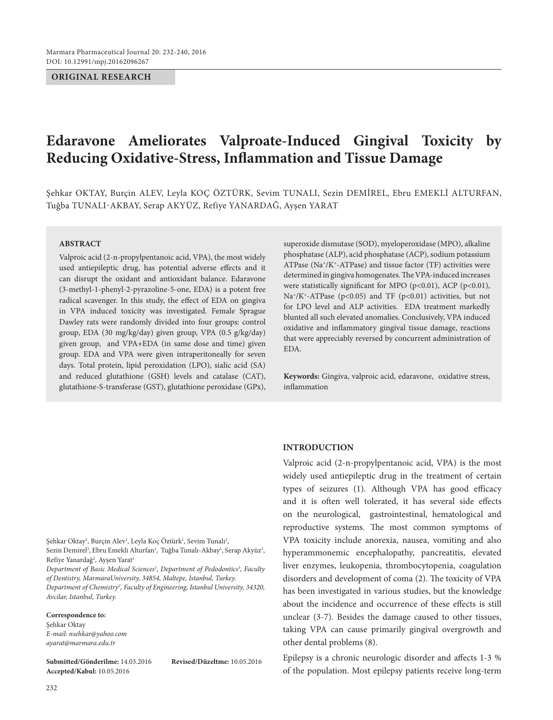#### **ORIGINAL RESEARCH**

# **Edaravone Ameliorates Valproate-Induced Gingival Toxicity by Reducing Oxidative-Stress, Inflammation and Tissue Damage**

Şehkar OKTAY, Burçin ALEV, Leyla KOÇ ÖZTÜRK, Sevim TUNALI, Sezin DEMİREL, Ebru EMEKLİ ALTURFAN, Tuğba TUNALI-AKBAY, Serap AKYÜZ, Refiye YANARDAĞ, Ayşen YARAT

#### **ABSTRACT**

Valproic acid (2-n-propylpentanoic acid, VPA), the most widely used antiepileptic drug, has potential adverse effects and it can disrupt the oxidant and antioxidant balance. Edaravone (3-methyl-1-phenyl-2-pyrazoline-5-one, EDA) is a potent free radical scavenger. In this study, the effect of EDA on gingiva in VPA induced toxicity was investigated. Female Sprague Dawley rats were randomly divided into four groups: control group, EDA (30 mg/kg/day) given group, VPA (0.5 g/kg/day) given group, and VPA+EDA (in same dose and time) given group. EDA and VPA were given intraperitoneally for seven days. Total protein, lipid peroxidation (LPO), sialic acid (SA) and reduced glutathione (GSH) levels and catalase (CAT), glutathione-S-transferase (GST), glutathione peroxidase (GPx), superoxide dismutase (SOD), myeloperoxidase (MPO), alkaline phosphatase (ALP), acid phosphatase (ACP), sodium potassium ATPase (Na+/K+-ATPase) and tissue factor (TF) activities were determined in gingiva homogenates. The VPA-induced increases were statistically significant for MPO (p<0.01), ACP (p<0.01), Na<sup>+</sup>/K<sup>+</sup>-ATPase (p<0.05) and TF (p<0.01) activities, but not for LPO level and ALP activities. EDA treatment markedly blunted all such elevated anomalies. Conclusively, VPA induced oxidative and inflammatory gingival tissue damage, reactions that were appreciably reversed by concurrent administration of EDA.

**Keywords:** Gingiva, valproic acid, edaravone, oxidative stress, inflammation

#### **INTRODUCTION**

Valproic acid (2-n-propylpentanoic acid, VPA) is the most widely used antiepileptic drug in the treatment of certain types of seizures (1). Although VPA has good efficacy and it is often well tolerated, it has several side effects on the neurological, gastrointestinal, hematological and reproductive systems. The most common symptoms of VPA toxicity include anorexia, nausea, vomiting and also hyperammonemic encephalopathy, pancreatitis, elevated liver enzymes, leukopenia, thrombocytopenia, coagulation disorders and development of coma (2). The toxicity of VPA has been investigated in various studies, but the knowledge about the incidence and occurrence of these effects is still unclear (3-7). Besides the damage caused to other tissues, taking VPA can cause primarily gingival overgrowth and other dental problems (8).

Epilepsy is a chronic neurologic disorder and affects 1-3 % of the population. Most epilepsy patients receive long-term

Şehkar Oktay<sup>ı</sup>, Burçin Alev<sup>ı</sup>, Leyla Koç Öztürk<sup>ı</sup>, Sevim Tunalı<sup>2</sup>, Sezin Demirel<sup>3</sup>, Ebru Emekli Alturfan<sup>ı</sup>, Tuğba Tunalı-Akbay<sup>ı</sup>, Serap Akyüz<sup>3</sup>, Refiye Yanardağ<sup>2</sup>, Ayşen Yarat<sup>ı</sup>

*Department of Basic Medical Sciences1 , Department of Pedodontics3 , Faculty of Dentistry, MarmaraUniversity, 34854, Maltepe, Istanbul, Turkey. Department of Chemistry2 , Faculty of Engineering, Istanbul University, 34320,* 

*Avcilar, Istanbul, Turkey.*

#### **Correspondence to:**

Şehkar Oktay *E-mail: nsehkar@yahoo.com ayarat@marmara.edu.tr*

**Submitted/Gönderilme:** 14.03.2016 **Revised/Düzeltme:** 10.05.2016 **Accepted/Kabul:** 10.05.2016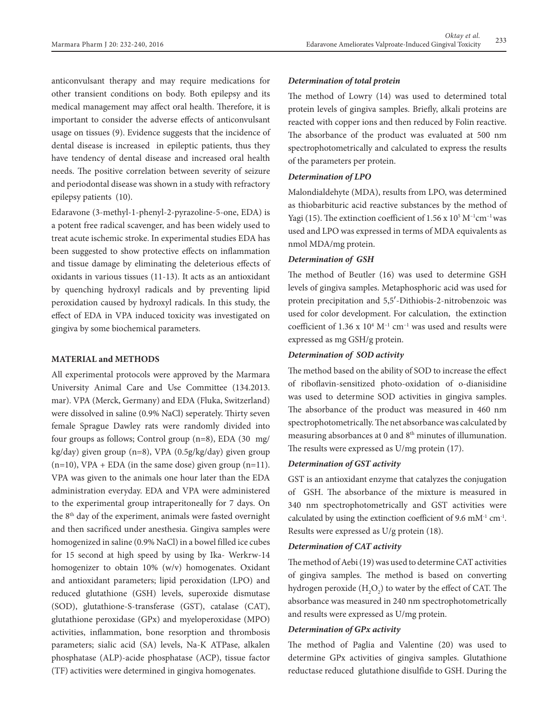anticonvulsant therapy and may require medications for other transient conditions on body. Both epilepsy and its medical management may affect oral health. Therefore, it is important to consider the adverse effects of anticonvulsant usage on tissues (9). Evidence suggests that the incidence of dental disease is increased in epileptic patients, thus they have tendency of dental disease and increased oral health needs. The positive correlation between severity of seizure and periodontal disease was shown in a study with refractory epilepsy patients (10).

Edaravone (3-methyl-1-phenyl-2-pyrazoline-5-one, EDA) is a potent free radical scavenger, and has been widely used to treat acute ischemic stroke. In experimental studies EDA has been suggested to show protective effects on inflammation and tissue damage by eliminating the deleterious effects of oxidants in various tissues (11-13). It acts as an antioxidant by quenching hydroxyl radicals and by preventing lipid peroxidation caused by hydroxyl radicals. In this study, the effect of EDA in VPA induced toxicity was investigated on gingiva by some biochemical parameters.

## **MATERIAL and METHODS**

All experimental protocols were approved by the Marmara University Animal Care and Use Committee (134.2013. mar). VPA (Merck, Germany) and EDA (Fluka, Switzerland) were dissolved in saline (0.9% NaCl) seperately. Thirty seven female Sprague Dawley rats were randomly divided into four groups as follows; Control group (n=8), EDA (30 mg/ kg/day) given group (n=8), VPA (0.5g/kg/day) given group  $(n=10)$ , VPA + EDA (in the same dose) given group  $(n=11)$ . VPA was given to the animals one hour later than the EDA administration everyday. EDA and VPA were administered to the experimental group intraperitoneally for 7 days. On the 8th day of the experiment, animals were fasted overnight and then sacrificed under anesthesia. Gingiva samples were homogenized in saline (0.9% NaCl) in a bowel filled ice cubes for 15 second at high speed by using by Ika- Werkrw-14 homogenizer to obtain 10% (w/v) homogenates. Oxidant and antioxidant parameters; lipid peroxidation (LPO) and reduced glutathione (GSH) levels, superoxide dismutase (SOD), glutathione-S-transferase (GST), catalase (CAT), glutathione peroxidase (GPx) and myeloperoxidase (MPO) activities, inflammation, bone resorption and thrombosis parameters; sialic acid (SA) levels, Na-K ATPase, alkalen phosphatase (ALP)-acide phosphatase (ACP), tissue factor (TF) activities were determined in gingiva homogenates.

# *Determination of total protein*

The method of Lowry (14) was used to determined total protein levels of gingiva samples. Briefly, alkali proteins are reacted with copper ions and then reduced by Folin reactive. The absorbance of the product was evaluated at 500 nm spectrophotometrically and calculated to express the results of the parameters per protein.

#### *Determination of LPO*

Malondialdehyte (MDA), results from LPO, was determined as thiobarbituric acid reactive substances by the method of Yagi (15). The extinction coefficient of  $1.56 \times 10^5$  M<sup>-1</sup>cm<sup>-1</sup> was used and LPO was expressed in terms of MDA equivalents as nmol MDA/mg protein.

## *Determination of GSH*

The method of Beutler (16) was used to determine GSH levels of gingiva samples. Metaphosphoric acid was used for protein precipitation and 5,5′-Dithiobis-2-nitrobenzoic was used for color development. For calculation, the extinction coefficient of  $1.36 \times 10^4$  M<sup>-1</sup> cm<sup>-1</sup> was used and results were expressed as mg GSH/g protein.

# *Determination of SOD activity*

The method based on the ability of SOD to increase the effect of riboflavin-sensitized photo-oxidation of o-dianisidine was used to determine SOD activities in gingiva samples. The absorbance of the product was measured in 460 nm spectrophotometrically. The net absorbance was calculated by measuring absorbances at 0 and 8<sup>th</sup> minutes of illumunation. The results were expressed as U/mg protein (17).

# *Determination of GST activity*

GST is an antioxidant enzyme that catalyzes the conjugation of GSH. The absorbance of the mixture is measured in 340 nm spectrophotometrically and GST activities were calculated by using the extinction coefficient of 9.6 mM-1 cm-1. Results were expressed as U/g protein (18).

## *Determination of CAT activity*

The method of Aebi (19) was used to determine CAT activities of gingiva samples. The method is based on converting hydrogen peroxide  $(\mathrm{H}_{2}\mathrm{O}_{2})$  to water by the effect of CAT. The absorbance was measured in 240 nm spectrophotometrically and results were expressed as U/mg protein.

## *Determination of GPx activity*

The method of Paglia and Valentine (20) was used to determine GPx activities of gingiva samples. Glutathione reductase reduced glutathione disulfide to GSH. During the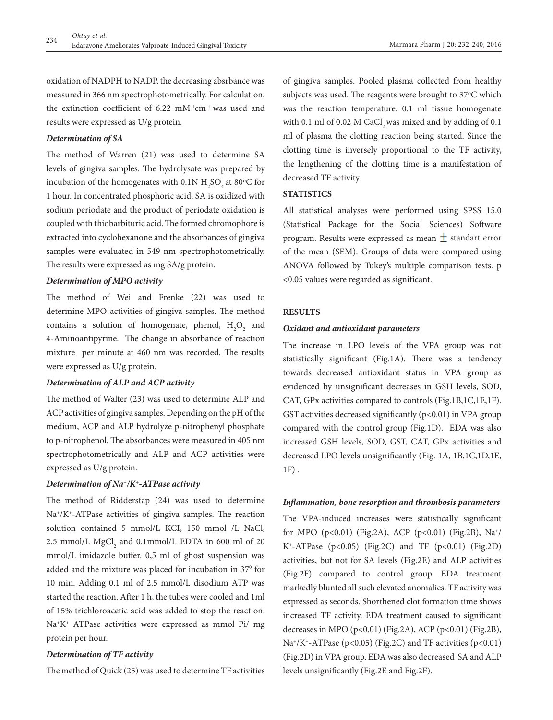oxidation of NADPH to NADP, the decreasing absrbance was measured in 366 nm spectrophotometrically. For calculation, the extinction coefficient of 6.22 mM-1cm-1 was used and results were expressed as U/g protein.

# *Determination of SA*

The method of Warren (21) was used to determine SA levels of gingiva samples. The hydrolysate was prepared by incubation of the homogenates with  $0.1N H_2SO_4$  at  $80°C$  for 1 hour. In concentrated phosphoric acid, SA is oxidized with sodium periodate and the product of periodate oxidation is coupled with thiobarbituric acid. The formed chromophore is extracted into cyclohexanone and the absorbances of gingiva samples were evaluated in 549 nm spectrophotometrically. The results were expressed as mg SA/g protein.

## *Determination of MPO activity*

The method of Wei and Frenke (22) was used to determine MPO activities of gingiva samples. The method contains a solution of homogenate, phenol,  $H_2O_2$  and 4-Aminoantipyrine. The change in absorbance of reaction mixture per minute at 460 nm was recorded. The results were expressed as U/g protein.

#### *Determination of ALP and ACP activity*

The method of Walter (23) was used to determine ALP and ACP activities of gingiva samples. Depending on the pH of the medium, ACP and ALP hydrolyze p-nitrophenyl phosphate to p-nitrophenol. The absorbances were measured in 405 nm spectrophotometrically and ALP and ACP activities were expressed as U/g protein.

## *Determination of Na+/K+-ATPase activity*

The method of Ridderstap (24) was used to determine Na+/K+-ATPase activities of gingiva samples. The reaction solution contained 5 mmol/L KCI, 150 mmol /L NaCl,  $2.5 \text{ mmol/L MgCl}_2$  and  $0.1 \text{ mmol/L EDTA}$  in 600 ml of 20 mmol/L imidazole buffer. 0,5 ml of ghost suspension was added and the mixture was placed for incubation in 37<sup>0</sup> for 10 min. Adding 0.1 ml of 2.5 mmol/L disodium ATP was started the reaction. After 1 h, the tubes were cooled and 1ml of 15% trichloroacetic acid was added to stop the reaction. Na+K+ ATPase activities were expressed as mmol Pi/ mg protein per hour.

#### *Determination of TF activity*

The method of Quick (25) was used to determine TF activities

of gingiva samples. Pooled plasma collected from healthy subjects was used. The reagents were brought to 37ºC which was the reaction temperature. 0.1 ml tissue homogenate with 0.1 ml of 0.02 M CaCl, was mixed and by adding of 0.1 ml of plasma the clotting reaction being started. Since the clotting time is inversely proportional to the TF activity, the lengthening of the clotting time is a manifestation of decreased TF activity.

# **STATISTICS**

All statistical analyses were performed using SPSS 15.0 (Statistical Package for the Social Sciences) Software program. Results were expressed as mean  $\pm$  standart error of the mean (SEM). Groups of data were compared using ANOVA followed by Tukey's multiple comparison tests. p <0.05 values were regarded as significant.

#### **RESULTS**

#### *Oxidant and antioxidant parameters*

The increase in LPO levels of the VPA group was not statistically significant (Fig.1A). There was a tendency towards decreased antioxidant status in VPA group as evidenced by unsignificant decreases in GSH levels, SOD, CAT, GPx activities compared to controls (Fig.1B,1C,1E,1F). GST activities decreased significantly  $(p<0.01)$  in VPA group compared with the control group (Fig.1D). EDA was also increased GSH levels, SOD, GST, CAT, GPx activities and decreased LPO levels unsignificantly (Fig. 1A, 1B,1C,1D,1E, 1F) .

#### *Inflammation, bone resorption and thrombosis parameters*

The VPA-induced increases were statistically significant for MPO (p<0.01) (Fig.2A), ACP (p<0.01) (Fig.2B), Na+/ K<sup>+</sup>-ATPase (p<0.05) (Fig.2C) and TF (p<0.01) (Fig.2D) activities, but not for SA levels (Fig.2E) and ALP activities (Fig.2F) compared to control group. EDA treatment markedly blunted all such elevated anomalies. TF activity was expressed as seconds. Shorthened clot formation time shows increased TF activity. EDA treatment caused to significant decreases in MPO (p<0.01) (Fig.2A), ACP (p<0.01) (Fig.2B), Na<sup>+</sup>/K<sup>+</sup>-ATPase (p<0.05) (Fig.2C) and TF activities (p<0.01) (Fig.2D) in VPA group. EDA was also decreased SA and ALP levels unsignificantly (Fig.2E and Fig.2F).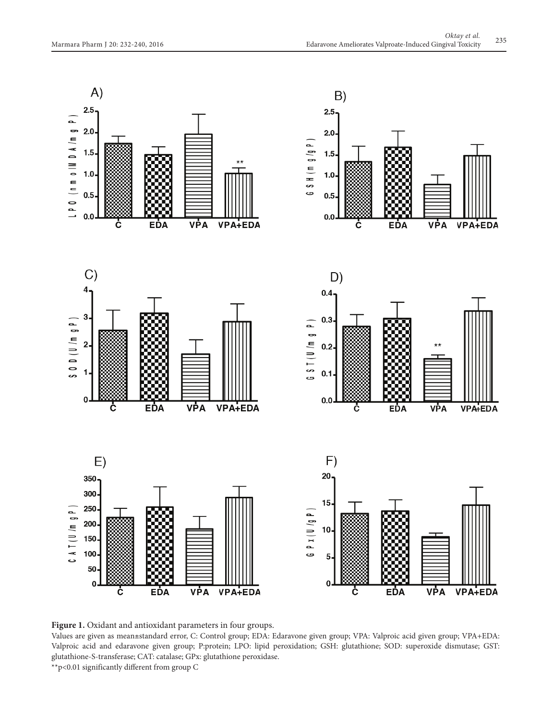

**Figure 1.** Oxidant and antioxidant parameters in four groups.

Values are given as mean±standard error, C: Control group; EDA: Edaravone given group; VPA: Valproic acid given group; VPA+EDA: Valproic acid and edaravone given group; P:protein; LPO: lipid peroxidation; GSH: glutathione; SOD: superoxide dismutase; GST: glutathione-S-transferase; CAT: catalase; GPx: glutathione peroxidase.

\*\*p<0.01 significantly different from group C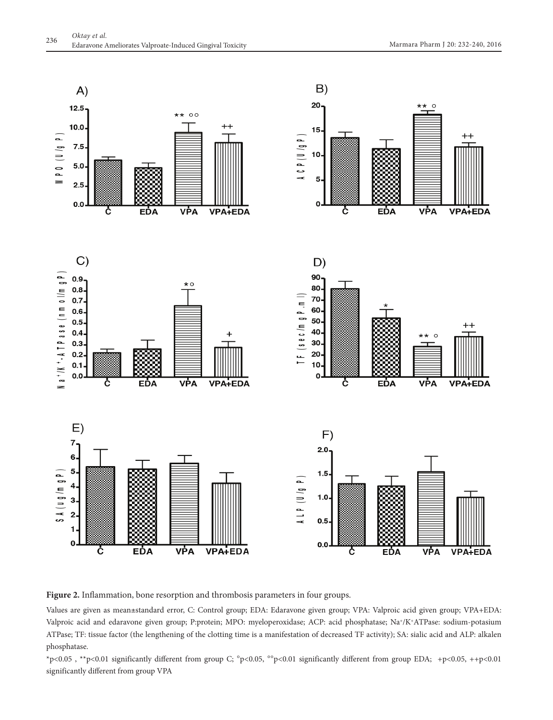

**Figure 2.** Inflammation, bone resorption and thrombosis parameters in four groups.

Values are given as mean±standard error, C: Control group; EDA: Edaravone given group; VPA: Valproic acid given group; VPA+EDA: Valproic acid and edaravone given group; P:protein; MPO: myeloperoxidase; ACP: acid phosphatase; Na+/K+ATPase: sodium-potasium ATPase; TF: tissue factor (the lengthening of the clotting time is a manifestation of decreased TF activity); SA: sialic acid and ALP: alkalen phosphatase.

\*p<0.05 , \*\*p<0.01 significantly different from group C; °p<0.05, °°p<0.01 significantly different from group EDA; +p<0.05, ++p<0.01 significantly different from group VPA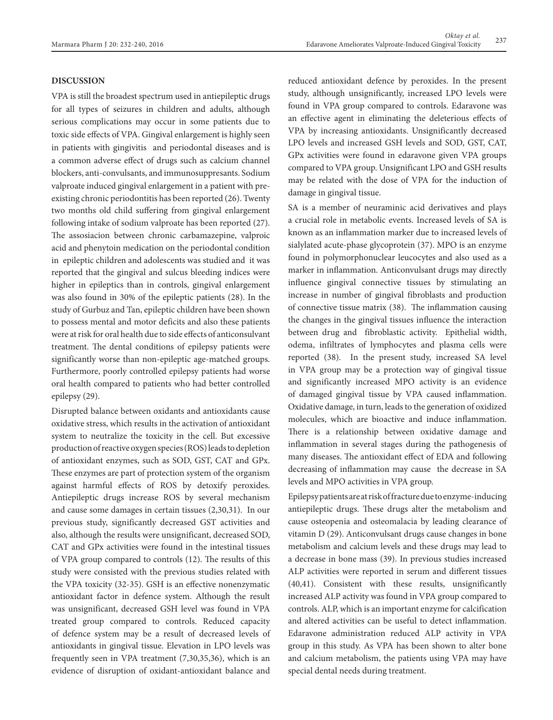# **DISCUSSION**

VPA is still the broadest spectrum used in antiepileptic drugs for all types of seizures in children and adults, although serious complications may occur in some patients due to toxic side effects of VPA. Gingival enlargement is highly seen in patients with gingivitis and periodontal diseases and is a common adverse effect of drugs such as calcium channel blockers, anti-convulsants, and immunosuppresants. Sodium valproate induced gingival enlargement in a patient with preexisting chronic periodontitis has been reported (26). Twenty two months old child suffering from gingival enlargement following intake of sodium valproate has been reported (27). The assosiacion between chronic carbamazepine, valproic acid and phenytoin medication on the periodontal condition in epileptic children and adolescents was studied and it was reported that the gingival and sulcus bleeding indices were higher in epileptics than in controls, gingival enlargement was also found in 30% of the epileptic patients (28). In the study of Gurbuz and Tan, epileptic children have been shown to possess mental and motor deficits and also these patients were at risk for oral health due to side effects of anticonsulvant treatment. The dental conditions of epilepsy patients were significantly worse than non-epileptic age-matched groups. Furthermore, poorly controlled epilepsy patients had worse oral health compared to patients who had better controlled epilepsy (29).

Disrupted balance between oxidants and antioxidants cause oxidative stress, which results in the activation of antioxidant system to neutralize the toxicity in the cell. But excessive production of reactive oxygen species (ROS) leads to depletion of antioxidant enzymes, such as SOD, GST, CAT and GPx. These enzymes are part of protection system of the organism against harmful effects of ROS by detoxify peroxides. Antiepileptic drugs increase ROS by several mechanism and cause some damages in certain tissues (2,30,31). In our previous study, significantly decreased GST activities and also, although the results were unsignificant, decreased SOD, CAT and GPx activities were found in the intestinal tissues of VPA group compared to controls (12). The results of this study were consisted with the previous studies related with the VPA toxicity (32-35). GSH is an effective nonenzymatic antioxidant factor in defence system. Although the result was unsignificant, decreased GSH level was found in VPA treated group compared to controls. Reduced capacity of defence system may be a result of decreased levels of antioxidants in gingival tissue. Elevation in LPO levels was frequently seen in VPA treatment (7,30,35,36), which is an evidence of disruption of oxidant-antioxidant balance and

reduced antioxidant defence by peroxides. In the present study, although unsignificantly, increased LPO levels were found in VPA group compared to controls. Edaravone was an effective agent in eliminating the deleterious effects of VPA by increasing antioxidants. Unsignificantly decreased LPO levels and increased GSH levels and SOD, GST, CAT, GPx activities were found in edaravone given VPA groups compared to VPA group. Unsignificant LPO and GSH results may be related with the dose of VPA for the induction of damage in gingival tissue.

SA is a member of neuraminic acid derivatives and plays a crucial role in metabolic events. Increased levels of SA is known as an inflammation marker due to increased levels of sialylated acute-phase glycoprotein (37). MPO is an enzyme found in polymorphonuclear leucocytes and also used as a marker in inflammation. Anticonvulsant drugs may directly influence gingival connective tissues by stimulating an increase in number of gingival fibroblasts and production of connective tissue matrix (38). The inflammation causing the changes in the gingival tissues influence the interaction between drug and fibroblastic activity. Epithelial width, odema, infiltrates of lymphocytes and plasma cells were reported (38). In the present study, increased SA level in VPA group may be a protection way of gingival tissue and significantly increased MPO activity is an evidence of damaged gingival tissue by VPA caused inflammation. Oxidative damage, in turn, leads to the generation of oxidized molecules, which are bioactive and induce inflammation. There is a relationship between oxidative damage and inflammation in several stages during the pathogenesis of many diseases. The antioxidant effect of EDA and following decreasing of inflammation may cause the decrease in SA levels and MPO activities in VPA group.

Epilepsy patients are at risk of fracture due to enzyme-inducing antiepileptic drugs. These drugs alter the metabolism and cause osteopenia and osteomalacia by leading clearance of vitamin D (29). Anticonvulsant drugs cause changes in bone metabolism and calcium levels and these drugs may lead to a decrease in bone mass (39). In previous studies increased ALP activities were reported in serum and different tissues (40,41). Consistent with these results, unsignificantly increased ALP activity was found in VPA group compared to controls. ALP, which is an important enzyme for calcification and altered activities can be useful to detect inflammation. Edaravone administration reduced ALP activity in VPA group in this study. As VPA has been shown to alter bone and calcium metabolism, the patients using VPA may have special dental needs during treatment.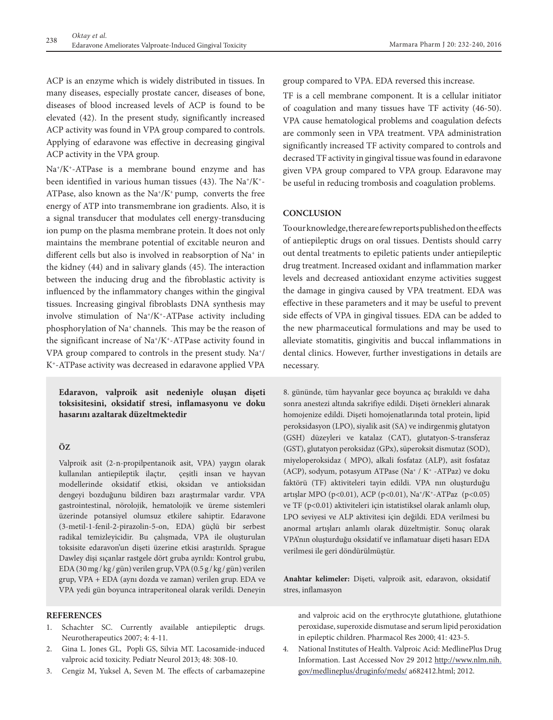ACP is an enzyme which is widely distributed in tissues. In many diseases, especially prostate cancer, diseases of bone, diseases of blood increased levels of ACP is found to be elevated (42). In the present study, significantly increased ACP activity was found in VPA group compared to controls. Applying of edaravone was effective in decreasing gingival ACP activity in the VPA group.

Na+/K+-ATPase is a membrane bound enzyme and has been identified in various human tissues  $(43)$ . The Na<sup>+</sup>/K<sup>+</sup>-ATPase, also known as the  $\text{Na}^*/\text{K}^+$  pump, converts the free energy of ATP into transmembrane ion gradients. Also, it is a signal transducer that modulates cell energy-transducing ion pump on the plasma membrane protein. It does not only maintains the membrane potential of excitable neuron and different cells but also is involved in reabsorption of Na<sup>+</sup> in the kidney (44) and in salivary glands (45). The interaction between the inducing drug and the fibroblastic activity is influenced by the inflammatory changes within the gingival tissues. Increasing gingival fibroblasts DNA synthesis may involve stimulation of Na+/K+-ATPase activity including phosphorylation of Na+ channels. This may be the reason of the significant increase of Na+/K+-ATPase activity found in VPA group compared to controls in the present study. Na+/ K+-ATPase activity was decreased in edaravone applied VPA

**Edaravon, valproik asit nedeniyle oluşan dişeti toksisitesini, oksidatif stresi, inflamasyonu ve doku hasarını azaltarak düzeltmektedir**

# **ÖZ**

Valproik asit (2-n-propilpentanoik asit, VPA) yaygın olarak kullanılan antiepileptik ilaçtır, çeşitli insan ve hayvan modellerinde oksidatif etkisi, oksidan ve antioksidan dengeyi bozduğunu bildiren bazı araştırmalar vardır. VPA gastrointestinal, nörolojik, hematolojik ve üreme sistemleri üzerinde potansiyel olumsuz etkilere sahiptir. Edaravone (3-metil-1-fenil-2-pirazolin-5-on, EDA) güçlü bir serbest radikal temizleyicidir. Bu çalışmada, VPA ile oluşturulan toksisite edaravon'un dişeti üzerine etkisi araştırıldı. Sprague Dawley dişi sıçanlar rastgele dört gruba ayrıldı: Kontrol grubu, EDA (30 mg / kg / gün) verilen grup, VPA (0.5 g / kg / gün) verilen grup, VPA + EDA (aynı dozda ve zaman) verilen grup. EDA ve VPA yedi gün boyunca intraperitoneal olarak verildi. Deneyin

# **REFERENCES**

- 1. Schachter SC. Currently available antiepileptic drugs. Neurotherapeutics 2007; 4: 4-11.
- 2. Gina L. Jones GL, Popli GS, Silvia MT. Lacosamide-induced valproic acid toxicity. Pediatr Neurol 2013; 48: 308-10.
- 3. Cengiz M, Yuksel A, Seven M. The effects of carbamazepine

group compared to VPA. EDA reversed this increase.

TF is a cell membrane component. It is a cellular initiator of coagulation and many tissues have TF activity (46-50). VPA cause hematological problems and coagulation defects are commonly seen in VPA treatment. VPA administration significantly increased TF activity compared to controls and decrased TF activity in gingival tissue was found in edaravone given VPA group compared to VPA group. Edaravone may be useful in reducing trombosis and coagulation problems.

### **CONCLUSION**

To our knowledge, there are few reports published on the effects of antiepileptic drugs on oral tissues. Dentists should carry out dental treatments to epiletic patients under antiepileptic drug treatment. Increased oxidant and inflammation marker levels and decreased antioxidant enzyme activities suggest the damage in gingiva caused by VPA treatment. EDA was effective in these parameters and it may be useful to prevent side effects of VPA in gingival tissues. EDA can be added to the new pharmaceutical formulations and may be used to alleviate stomatitis, gingivitis and buccal inflammations in dental clinics. However, further investigations in details are necessary.

8. gününde, tüm hayvanlar gece boyunca aç bırakıldı ve daha sonra anestezi altında sakrifiye edildi. Dişeti örnekleri alınarak homojenize edildi. Dişeti homojenatlarında total protein, lipid peroksidasyon (LPO), siyalik asit (SA) ve indirgenmiş glutatyon (GSH) düzeyleri ve katalaz (CAT), glutatyon-S-transferaz (GST), glutatyon peroksidaz (GPx), süperoksit dismutaz (SOD), miyeloperoksidaz ( MPO), alkali fosfataz (ALP), asit fosfataz (ACP), sodyum, potasyum ATPase (Na+ / K+ -ATPaz) ve doku faktörü (TF) aktiviteleri tayin edildi. VPA nın oluşturduğu artışlar MPO (p<0.01), ACP (p<0.01), Na+/K+-ATPaz (p<0.05) ve TF (p<0.01) aktiviteleri için istatistiksel olarak anlamlı olup, LPO seviyesi ve ALP aktivitesi için değildi. EDA verilmesi bu anormal artışları anlamlı olarak düzeltmiştir. Sonuç olarak VPA'nın oluşturduğu oksidatif ve inflamatuar dişeti hasarı EDA verilmesi ile geri döndürülmüştür.

**Anahtar kelimeler:** Dişeti, valproik asit, edaravon, oksidatif stres, inflamasyon

and valproic acid on the erythrocyte glutathione, glutathione peroxidase, superoxide dismutase and serum lipid peroxidation in epileptic children. Pharmacol Res 2000; 41: 423-5.

4. National Institutes of Health. Valproic Acid: MedlinePlus Drug Information. Last Accessed Nov 29 2012 http://www.nlm.nih. gov/medlineplus/druginfo/meds/ a682412.html; 2012.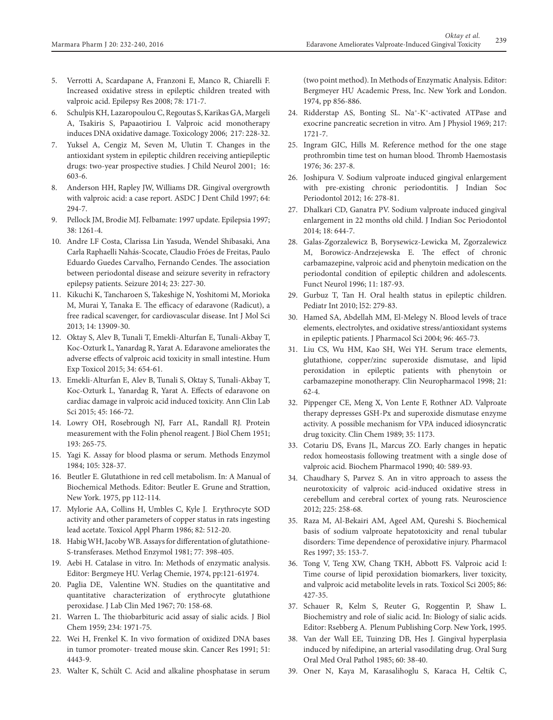- 5. Verrotti A, Scardapane A, Franzoni E, Manco R, Chiarelli F. Increased oxidative stress in epileptic children treated with valproic acid. Epilepsy Res 2008; 78: 171-7.
- 6. Schulpis KH, Lazaropoulou C, Regoutas S, Karikas GA, Margeli A, Tsakiris S, Papaaotiriou I. Valproic acid monotherapy induces DNA oxidative damage. Toxicology 2006; 217: 228-32.
- 7. Yuksel A, Cengiz M, Seven M, Ulutin T. Changes in the antioxidant system in epileptic children receiving antiepileptic drugs: two-year prospective studies. J Child Neurol 2001; 16: 603-6.
- 8. Anderson HH, Rapley JW, Williams DR. Gingival overgrowth with valproic acid: a case report. ASDC J Dent Child 1997; 64: 294-7.
- 9. Pellock JM, Brodie MJ. Felbamate: 1997 update. Epilepsia 1997; 38: 1261-4.
- 10. Andre LF Costa, Clarissa Lin Yasuda, Wendel Shibasaki, Ana Carla Raphaelli Nahás-Scocate, Claudio Fróes de Freitas, Paulo Eduardo Guedes Carvalho, Fernando Cendes. The association between periodontal disease and seizure severity in refractory epilepsy patients. Seizure 2014; 23: 227-30.
- 11. Kikuchi K, Tancharoen S, Takeshige N, Yoshitomi M, Morioka M, Murai Y, Tanaka E. The efficacy of edaravone (Radicut), a free radical scavenger, for cardiovascular disease. Int J Mol Sci 2013; 14: 13909-30.
- 12. Oktay S, Alev B, Tunali T, Emekli-Alturfan E, Tunali-Akbay T, Koc-Ozturk L, Yanardag R, Yarat A. Edaravone ameliorates the adverse effects of valproic acid toxicity in small intestine. Hum Exp Toxicol 2015; 34: 654-61.
- 13. Emekli-Alturfan E, Alev B, Tunali S, Oktay S, Tunali-Akbay T, Koc-Ozturk L, Yanardag R, Yarat A. Effects of edaravone on cardiac damage in valproic acid induced toxicity. Ann Clin Lab Sci 2015; 45: 166-72.
- 14. Lowry OH, Rosebrough NJ, Farr AL, Randall RJ. Protein measurement with the Folin phenol reagent. J Biol Chem 1951; 193: 265-75.
- 15. Yagi K. Assay for blood plasma or serum. Methods Enzymol 1984; 105: 328-37.
- 16. Beutler E. Glutathione in red cell metabolism. In: A Manual of Biochemical Methods. Editor: Beutler E. Grune and Strattion, New York. 1975, pp 112-114.
- 17. Mylorie AA, Collins H, Umbles C, Kyle J. Erythrocyte SOD activity and other parameters of copper status in rats ingesting lead acetate. Toxicol Appl Pharm 1986; 82: 512-20.
- 18. Habig WH, Jacoby WB. Assays for differentation of glutathione-S-transferases. Method Enzymol 1981; 77: 398-405.
- 19. Aebi H. Catalase in vitro. In: Methods of enzymatic analysis. Editor: Bergmeye HU. Verlag Chemie, 1974, pp:121-61974.
- 20. Paglia DE, Valentine WN. Studies on the quantitative and quantitative characterization of erythrocyte glutathione peroxidase. J Lab Clin Med 1967; 70: 158-68.
- 21. Warren L. The thiobarbituric acid assay of sialic acids. J Biol Chem 1959; 234: 1971-75.
- 22. Wei H, Frenkel K. In vivo formation of oxidized DNA bases in tumor promoter- treated mouse skin. Cancer Res 1991; 51: 4443-9.
- 23. Walter K, Schült C. Acid and alkaline phosphatase in serum

(two point method). In Methods of Enzymatic Analysis. Editor: Bergmeyer HU Academic Press, Inc. New York and London. 1974, pp 856-886.

- 24. Ridderstap AS, Bonting SL. Na+-K+-activated ATPase and exocrine pancreatic secretion in vitro. Am J Physiol 1969; 217: 1721-7.
- 25. Ingram GIC, Hills M. Reference method for the one stage prothrombin time test on human blood. Thromb Haemostasis 1976; 36: 237-8.
- 26. Joshipura V. Sodium valproate induced gingival enlargement with pre-existing chronic periodontitis. J Indian Soc Periodontol 2012; 16: 278-81.
- 27. Dhalkari CD, Ganatra PV. Sodium valproate induced gingival enlargement in 22 months old child. J Indian Soc Periodontol 2014; 18: 644-7.
- 28. Galas-Zgorzalewicz B, Borysewicz-Lewicka M, Zgorzalewicz M, Borowicz-Andrzejewska E. The effect of chronic carbamazepine, valproic acid and phenytoin medication on the periodontal condition of epileptic children and adolescents. Funct Neurol 1996; 11: 187-93.
- 29. Gurbuz T, Tan H. Oral health status in epileptic children. Pediatr Int 2010; l52: 279-83.
- 30. Hamed SA, Abdellah MM, El-Melegy N. Blood levels of trace elements, electrolytes, and oxidative stress/antioxidant systems in epileptic patients. J Pharmacol Sci 2004; 96: 465-73.
- 31. Liu CS, Wu HM, Kao SH, Wei YH. Serum trace elements, glutathione, copper/zinc superoxide dismutase, and lipid peroxidation in epileptic patients with phenytoin or carbamazepine monotherapy. Clin Neuropharmacol 1998; 21: 62-4.
- 32. Pippenger CE, Meng X, Von Lente F, Rothner AD. Valproate therapy depresses GSH-Px and superoxide dismutase enzyme activity. A possible mechanism for VPA induced idiosyncratic drug toxicity. Clin Chem 1989; 35: 1173.
- 33. Cotariu DS, Evans JL, Marcus ZO. Early changes in hepatic redox homeostasis following treatment with a single dose of valproic acid. Biochem Pharmacol 1990; 40: 589-93.
- 34. Chaudhary S, Parvez S. An in vitro approach to assess the neurotoxicity of valproic acid-induced oxidative stress in cerebellum and cerebral cortex of young rats. Neuroscience 2012; 225: 258-68.
- 35. Raza M, Al-Bekairi AM, Ageel AM, Qureshi S. Biochemical basis of sodium valproate hepatotoxicity and renal tubular disorders: Time dependence of peroxidative injury. Pharmacol Res 1997; 35: 153-7.
- 36. Tong V, Teng XW, Chang TKH, Abbott FS. Valproic acid I: Time course of lipid peroxidation biomarkers, liver toxicity, and valproic acid metabolite levels in rats. Toxicol Sci 2005; 86: 427-35.
- 37. Schauer R, Kelm S, Reuter G, Roggentin P, Shaw L. Biochemistry and role of sialic acid. In: Biology of sialic acids. Editor: Rsebberg A. Plenum Publishing Corp. New York, 1995.
- 38. Van der Wall EE, Tuinzing DB, Hes J. Gingival hyperplasia induced by nifedipine, an arterial vasodilating drug. Oral Surg Oral Med Oral Pathol 1985; 60: 38-40.
- 39. Oner N, Kaya M, Karasalihoglu S, Karaca H, Celtik C,